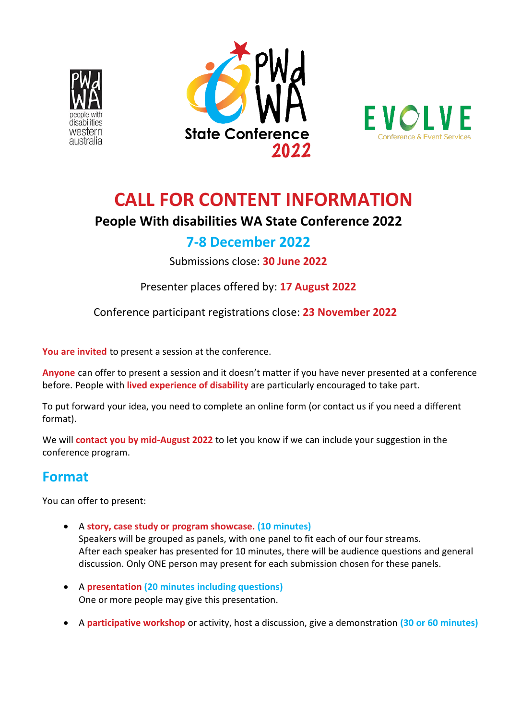





# **CALL FOR CONTENT INFORMATION**

### **People With disabilities WA State Conference 2022**

## **7-8 December 2022**

Submissions close: **30 June 2022**

Presenter places offered by: **17 August 2022**

Conference participant registrations close: **23 November 2022**

**You are invited** to present a session at the conference.

**Anyone** can offer to present a session and it doesn't matter if you have never presented at a conference before. People with **lived experience of disability** are particularly encouraged to take part.

To put forward your idea, you need to complete an online form (or contact us if you need a different format).

We will **contact you by mid-August 2022** to let you know if we can include your suggestion in the conference program.

#### **Format**

You can offer to present:

- A **story, case study or program showcase. (10 minutes)** Speakers will be grouped as panels, with one panel to fit each of our four streams. After each speaker has presented for 10 minutes, there will be audience questions and general discussion. Only ONE person may present for each submission chosen for these panels.
- A **presentation (20 minutes including questions)** One or more people may give this presentation.
- A **participative workshop** or activity, host a discussion, give a demonstration **(30 or 60 minutes)**